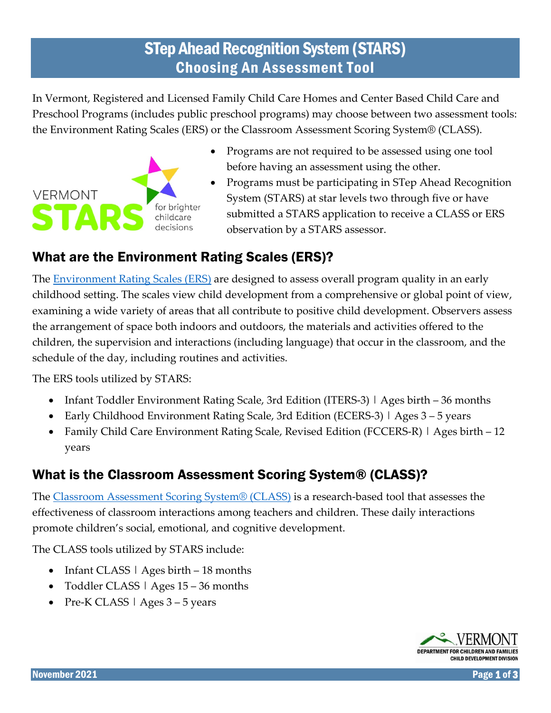# STep Ahead Recognition System (STARS) Choosing An Assessment Tool

In Vermont, Registered and Licensed Family Child Care Homes and Center Based Child Care and Preschool Programs (includes public preschool programs) may choose between two assessment tools: the Environment Rating Scales (ERS) or the Classroom Assessment Scoring System® (CLASS).



- Programs are not required to be assessed using one tool before having an assessment using the other.
- Programs must be participating in STep Ahead Recognition System (STARS) at star levels two through five or have submitted a STARS application to receive a CLASS or ERS observation by a STARS assessor.

## What are the Environment Rating Scales (ERS)?

The **Environment Rating Scales (ERS)** are designed to assess overall program quality in an early childhood setting. The scales view child development from a comprehensive or global point of view, examining a wide variety of areas that all contribute to positive child development. Observers assess the arrangement of space both indoors and outdoors, the materials and activities offered to the children, the supervision and interactions (including language) that occur in the classroom, and the schedule of the day, including routines and activities.

The ERS tools utilized by STARS:

- Infant Toddler Environment Rating Scale, 3rd Edition (ITERS-3) | Ages birth 36 months
- Early Childhood Environment Rating Scale, 3rd Edition (ECERS-3) | Ages 3 5 years
- Family Child Care Environment Rating Scale, Revised Edition (FCCERS-R) | Ages birth 12 years

## What is the Classroom Assessment Scoring System® (CLASS)?

The [Classroom Assessment Scoring System® \(CLASS\)](https://cdn2.hubspot.net/hubfs/336169/Teacher%20Observation%20QA%209.11.18.pdf) is a research-based tool that assesses the effectiveness of classroom interactions among teachers and children. These daily interactions promote children's social, emotional, and cognitive development.

The CLASS tools utilized by STARS include:

- Infant CLASS | Ages birth 18 months
- Toddler CLASS | Ages 15 36 months
- Pre-K CLASS | Ages 3 5 years

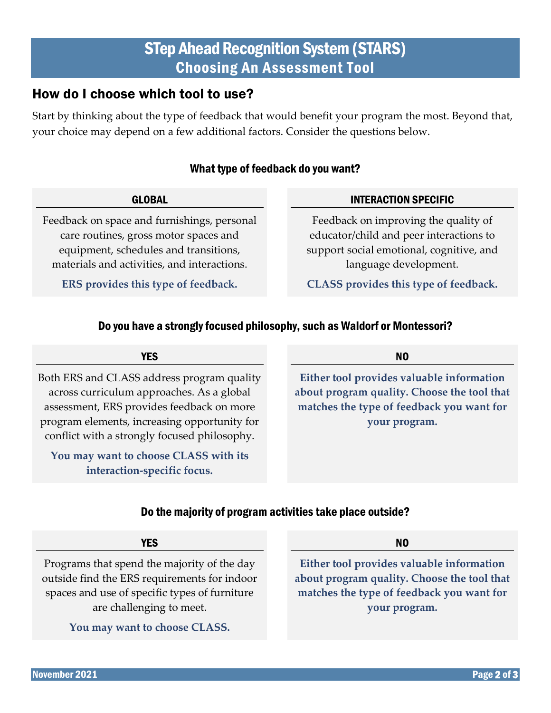## STep Ahead Recognition System (STARS) Choosing An Assessment Tool

### How do I choose which tool to use?

Start by thinking about the type of feedback that would benefit your program the most. Beyond that, your choice may depend on a few additional factors. Consider the questions below.

#### What type of feedback do you want?

#### GLOBAL

Feedback on space and furnishings, personal care routines, gross motor spaces and equipment, schedules and transitions, materials and activities, and interactions.

**ERS provides this type of feedback.**

#### INTERACTION SPECIFIC

Feedback on improving the quality of educator/child and peer interactions to support social emotional, cognitive, and language development.

**CLASS provides this type of feedback.**

### Do you have a strongly focused philosophy, such as Waldorf or Montessori?

| Both ERS and CLASS address program quality   |
|----------------------------------------------|
| across curriculum approaches. As a global    |
| assessment, ERS provides feedback on more    |
| program elements, increasing opportunity for |
| conflict with a strongly focused philosophy. |

**YES** 

**You may want to choose CLASS with its interaction-specific focus.**

NO

**Either tool provides valuable information about program quality. Choose the tool that matches the type of feedback you want for your program.**

### Do the majority of program activities take place outside?

| <b>YES</b>                                   | N0                                          |
|----------------------------------------------|---------------------------------------------|
| Programs that spend the majority of the day  | Either tool provides valuable information   |
| witside find the ERS requirements for indoor | about program quality. Choose the tool that |

outside f spaces and use of specific types of furniture are challenging to meet.

**You may want to choose CLASS.**

**about program quality. Choose the tool that matches the type of feedback you want for your program.**